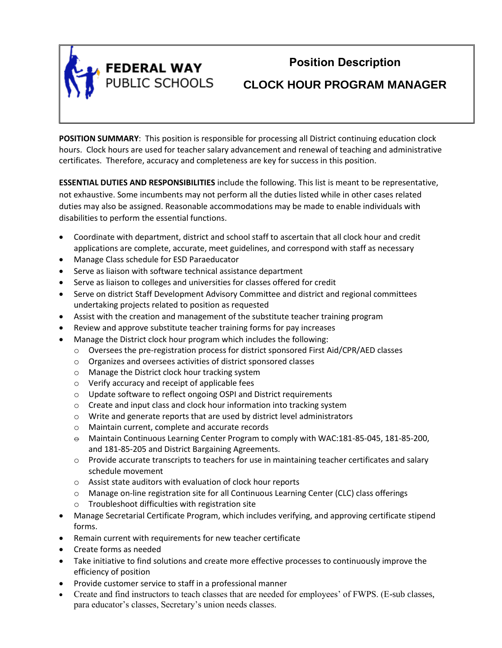

# **Position Description**

**CLOCK HOUR PROGRAM MANAGER**

**POSITION SUMMARY**: This position is responsible for processing all District continuing education clock hours. Clock hours are used for teacher salary advancement and renewal of teaching and administrative certificates. Therefore, accuracy and completeness are key for success in this position.

**ESSENTIAL DUTIES AND RESPONSIBILITIES** include the following. This list is meant to be representative, not exhaustive. Some incumbents may not perform all the duties listed while in other cases related duties may also be assigned. Reasonable accommodations may be made to enable individuals with disabilities to perform the essential functions.

- Coordinate with department, district and school staff to ascertain that all clock hour and credit applications are complete, accurate, meet guidelines, and correspond with staff as necessary
- Manage Class schedule for ESD Paraeducator
- Serve as liaison with software technical assistance department
- Serve as liaison to colleges and universities for classes offered for credit
- Serve on district Staff Development Advisory Committee and district and regional committees undertaking projects related to position as requested
- Assist with the creation and management of the substitute teacher training program
- Review and approve substitute teacher training forms for pay increases
- Manage the District clock hour program which includes the following:
	- o Oversees the pre-registration process for district sponsored First Aid/CPR/AED classes
	- o Organizes and oversees activities of district sponsored classes
	- o Manage the District clock hour tracking system
	- o Verify accuracy and receipt of applicable fees
	- o Update software to reflect ongoing OSPI and District requirements
	- o Create and input class and clock hour information into tracking system
	- o Write and generate reports that are used by district level administrators
	- o Maintain current, complete and accurate records
	- $\Theta$  Maintain Continuous Learning Center Program to comply with WAC:181-85-045, 181-85-200, and 181-85-205 and District Bargaining Agreements.
	- o Provide accurate transcripts to teachers for use in maintaining teacher certificates and salary schedule movement
	- o Assist state auditors with evaluation of clock hour reports
	- o Manage on-line registration site for all Continuous Learning Center (CLC) class offerings
	- o Troubleshoot difficulties with registration site
- Manage Secretarial Certificate Program, which includes verifying, and approving certificate stipend forms.
- Remain current with requirements for new teacher certificate
- Create forms as needed
- Take initiative to find solutions and create more effective processes to continuously improve the efficiency of position
- Provide customer service to staff in a professional manner
- Create and find instructors to teach classes that are needed for employees' of FWPS. (E-sub classes, para educator's classes, Secretary's union needs classes.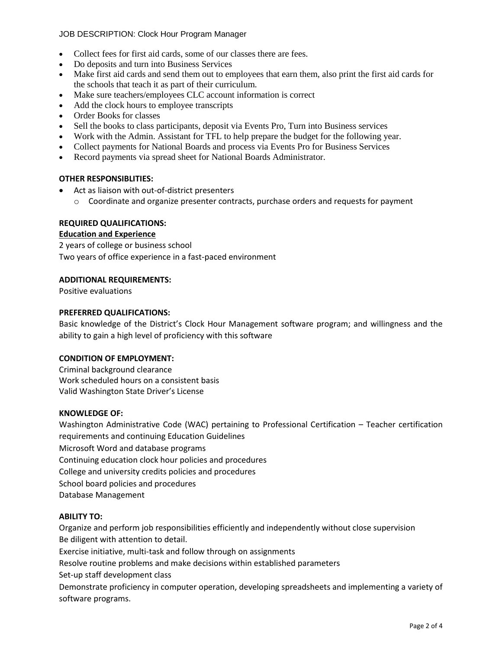# JOB DESCRIPTION: Clock Hour Program Manager

- Collect fees for first aid cards, some of our classes there are fees.
- Do deposits and turn into Business Services
- Make first aid cards and send them out to employees that earn them, also print the first aid cards for the schools that teach it as part of their curriculum.
- Make sure teachers/employees CLC account information is correct
- Add the clock hours to employee transcripts
- Order Books for classes
- Sell the books to class participants, deposit via Events Pro, Turn into Business services
- Work with the Admin. Assistant for TFL to help prepare the budget for the following year.
- Collect payments for National Boards and process via Events Pro for Business Services
- Record payments via spread sheet for National Boards Administrator.

# **OTHER RESPONSIBLITIES:**

- Act as liaison with out-of-district presenters
	- o Coordinate and organize presenter contracts, purchase orders and requests for payment

# **REQUIRED QUALIFICATIONS:**

# **Education and Experience**

2 years of college or business school Two years of office experience in a fast-paced environment

# **ADDITIONAL REQUIREMENTS:**

Positive evaluations

# **PREFERRED QUALIFICATIONS:**

Basic knowledge of the District's Clock Hour Management software program; and willingness and the ability to gain a high level of proficiency with this software

# **CONDITION OF EMPLOYMENT:**

Criminal background clearance Work scheduled hours on a consistent basis Valid Washington State Driver's License

#### **KNOWLEDGE OF:**

Washington Administrative Code (WAC) pertaining to Professional Certification – Teacher certification requirements and continuing Education Guidelines Microsoft Word and database programs Continuing education clock hour policies and procedures College and university credits policies and procedures School board policies and procedures Database Management

# **ABILITY TO:**

Organize and perform job responsibilities efficiently and independently without close supervision Be diligent with attention to detail.

Exercise initiative, multi-task and follow through on assignments

Resolve routine problems and make decisions within established parameters

Set-up staff development class

Demonstrate proficiency in computer operation, developing spreadsheets and implementing a variety of software programs.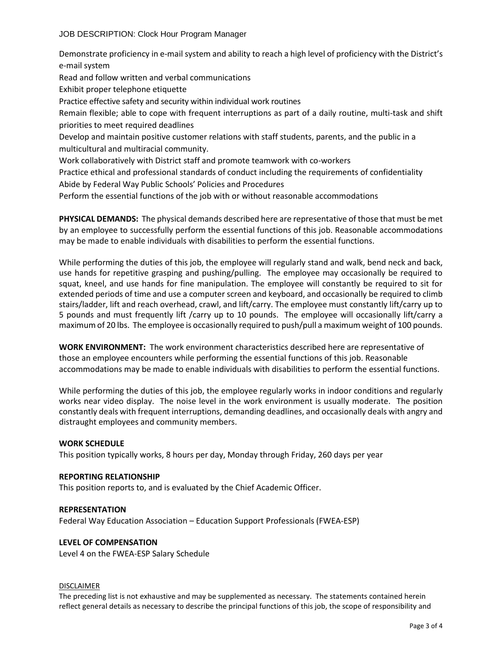Demonstrate proficiency in e-mail system and ability to reach a high level of proficiency with the District's e-mail system

Read and follow written and verbal communications

Exhibit proper telephone etiquette

Practice effective safety and security within individual work routines

Remain flexible; able to cope with frequent interruptions as part of a daily routine, multi-task and shift priorities to meet required deadlines

Develop and maintain positive customer relations with staff students, parents, and the public in a multicultural and multiracial community.

Work collaboratively with District staff and promote teamwork with co-workers

Practice ethical and professional standards of conduct including the requirements of confidentiality Abide by Federal Way Public Schools' Policies and Procedures

Perform the essential functions of the job with or without reasonable accommodations

**PHYSICAL DEMANDS:** The physical demands described here are representative of those that must be met by an employee to successfully perform the essential functions of this job. Reasonable accommodations may be made to enable individuals with disabilities to perform the essential functions.

While performing the duties of this job, the employee will regularly stand and walk, bend neck and back, use hands for repetitive grasping and pushing/pulling. The employee may occasionally be required to squat, kneel, and use hands for fine manipulation. The employee will constantly be required to sit for extended periods of time and use a computer screen and keyboard, and occasionally be required to climb stairs/ladder, lift and reach overhead, crawl, and lift/carry. The employee must constantly lift/carry up to 5 pounds and must frequently lift /carry up to 10 pounds. The employee will occasionally lift/carry a maximum of 20 lbs. The employee is occasionally required to push/pull a maximum weight of 100 pounds.

**WORK ENVIRONMENT:** The work environment characteristics described here are representative of those an employee encounters while performing the essential functions of this job. Reasonable accommodations may be made to enable individuals with disabilities to perform the essential functions.

While performing the duties of this job, the employee regularly works in indoor conditions and regularly works near video display. The noise level in the work environment is usually moderate. The position constantly deals with frequent interruptions, demanding deadlines, and occasionally deals with angry and distraught employees and community members.

# **WORK SCHEDULE**

This position typically works, 8 hours per day, Monday through Friday, 260 days per year

#### **REPORTING RELATIONSHIP**

This position reports to, and is evaluated by the Chief Academic Officer.

#### **REPRESENTATION**

Federal Way Education Association – Education Support Professionals (FWEA-ESP)

# **LEVEL OF COMPENSATION**

Level 4 on the FWEA-ESP Salary Schedule

#### DISCLAIMER

The preceding list is not exhaustive and may be supplemented as necessary. The statements contained herein reflect general details as necessary to describe the principal functions of this job, the scope of responsibility and